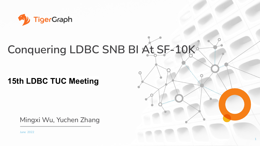

# **Conquering LDBC SNB BI At SF-10K**

#### **15th LDBC TUC Meeting**

Mingxi Wu, Yuchen Zhang

June 2022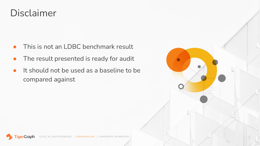## Disclaimer

- This is not an LDBC benchmark result
- The result presented is ready for audit
- It should not be used as a baseline to be compared against



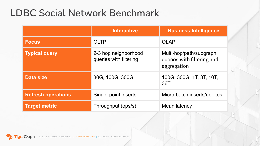## **LDBC Social Network Benchmark**

|                           | <b>Interactive</b>                             | <b>Business Intelligence</b>                                         |
|---------------------------|------------------------------------------------|----------------------------------------------------------------------|
| <b>Focus</b>              | <b>OLTP</b>                                    | <b>OLAP</b>                                                          |
| <b>Typical query</b>      | 2-3 hop neighborhood<br>queries with filtering | Multi-hop/path/subgraph<br>queries with filtering and<br>aggregation |
| <b>Data size</b>          | 30G, 100G, 300G                                | 100G, 300G, 1T, 3T, 10T,<br>36T                                      |
| <b>Refresh operations</b> | Single-point inserts                           | Micro-batch inserts/deletes                                          |
| <b>Target metric</b>      | Throughput (ops/s)                             | Mean latency                                                         |

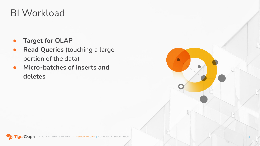## BI Workload

- **Target for OLAP**
- **Read Queries** (touching a large portion of the data)
- **Micro-batches of inserts and deletes**

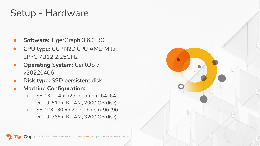## Setup - Hardware

- **Software: TigerGraph 3.6.0 RC**
- **CPU type:** GCP N2D CPU AMD Milan EPYC 7B12 2.25GHz
- **Operating System: CentOS 7** v20220406
- **Disk type: SSD persistent disk**
- **Machine Configuration:** 
	- SF-1K: **4** x n2d-highmem-64 (64 vCPU, 512 GB RAM, 2000 GB disk)
	- SF-10K: **30** x n2d-highmem-96 (96 vCPU, 768 GB RAM, 3200 GB disk)

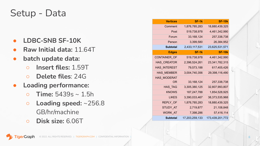#### Setup - Data

- **LDBC-SNB SF-10K**
- **Raw Initial data:** 11.64T
- **● batch update data:**
	- **○ Insert files:** 1.59T
	- **Delete files**: 24G
- **● Loading performance:**
	- **○ Time:** 5439s ~ 1.5h
	- **○ Loading speed:** ~256.8 GB/hr/machine
	- **○ Disk size:** 6.06T

| <b>Vertices</b> | SF-1k          | <b>SF-10k</b>   |
|-----------------|----------------|-----------------|
| Comment         | 1,876,785,283  | 18,880,439,325  |
| Post            | 519,738,978    | 4,461,342,990   |
| Forum           | 33, 168, 124   | 257,338,738     |
| Person          | 3,399,580      | 26,384,952      |
| Subtotal        | 2,433,117,531  | 23,625,531,571  |
| <b>Edges</b>    | SF-1k          | <b>SF-10k</b>   |
| CONTAINER_OF    | 519,738,978    | 4,461,342,990   |
| HAS_CREATOR     | 2,396,524,261  | 23,341,782,315  |
| HAS_INTEREST    | 79,573,188     | 617,405,426     |
| HAS_MEMBER      | 3,004,740,356  | 29,398,116,490  |
| HAS_MODERAT     |                |                 |
| OR              | 33, 168, 124   | 257,338,738     |
| HAS_TAG         | 3,305,380,125  | 32,807,993,807  |
| <b>KNOWS</b>    | 187,247,788    | 1,854,528,925   |
| <b>LIKES</b>    | 3,390,033,467  | 38,373,535,968  |
| REPLY_OF        | 1,876,785,283  | 18,880,439,325  |
| STUDY_AT        | 2,719,877      | 21,108,848      |
| WORK_AT         | 7,398,286      | 57,416,114      |
| Subtotal        | 17,203,259,133 | 173,439,201,772 |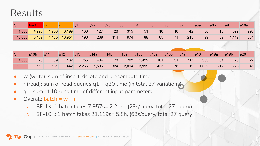### Results

| <b>SF</b>           |       |                   |                |     | q2a | q2b | q3  | q4 | q5 | q6 | q7  | q8a | q8b | q9          | q10a |
|---------------------|-------|-------------------|----------------|-----|-----|-----|-----|----|----|----|-----|-----|-----|-------------|------|
| $\big  1,000 \big $ |       | 4,295 1,758 6,199 |                | 136 | 127 | 28  | 315 | 51 | 18 | 18 | 42  | 36  | 16  | 522         | 293  |
| 10,000              | 5,439 |                   | $4,165$ 16,954 | 190 | 268 | 114 | 974 | 88 | 65 | 71 | 213 | 99  |     | 1,112<br>39 | 684  |

| <b>SF</b> | q10b | $\blacksquare$ <sub>q</sub> 11 | q12 | q13   | q14a  | q14b | $q15a$ $q15b$ |              | q16a       | $q16b$ $q17$ |     | q18   | q19a | q19b      | q20 |
|-----------|------|--------------------------------|-----|-------|-------|------|---------------|--------------|------------|--------------|-----|-------|------|-----------|-----|
| 1,000     | 70   | 89                             | 182 | 755   | 484   |      |               | 70 762 1,422 | $\sim$ 101 | $\sim$ 31    | 117 | 333   | 81   | <b>78</b> | 22  |
| 10,000    | 119  | 181                            | 442 | 2,266 | 1,506 | 324  |               | 2,094 3,195  | 433        | 78           | 319 | 1,602 | 217  | 223       | 41  |

- w (write): sum of insert, delete and precompute time
- r (read): sum of read queries q1  $\sim$  q20 time (in total 27 variations)
- qi sum of 10 runs time of different input parameters
- Overall: batch =  $w + r$ 
	- SF-1K: 1 batch takes 7,957s= 2.21h, (23s/query, total 27 query)
	- $\circ$  SF-10K: 1 batch takes 21,119s= 5.8h, (63s/query, total 27 query)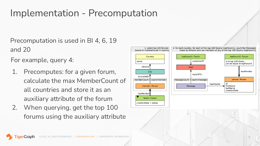## Implementation - Precomputation

Precomputation is used in BI 4, 6, 19 and 20

For example, query 4:

- 1. Precomputes: for a given forum, calculate the max MemberCount of all countries and store it as an auxiliary attribute of the forum
- 2. When querying, get the top 100 forums using the auxiliary attribute

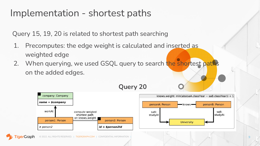### Implementation - shortest paths

Query 15, 19, 20 is related to shortest path searching

- 1. Precomputes: the edge weight is calculated and inserted as weighted edge
- 2. When querying, we used GSQL query to search the shortest paths on the added edges.

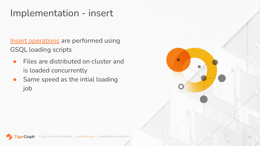## Implementation - insert

[Insert operations](https://github.com/ldbc/ldbc_snb_bi/tree/main/tigergraph/dml) are performed using GSQL loading scripts

- Files are distributed on cluster and is loaded concurrently
- Same speed as the intial loading job